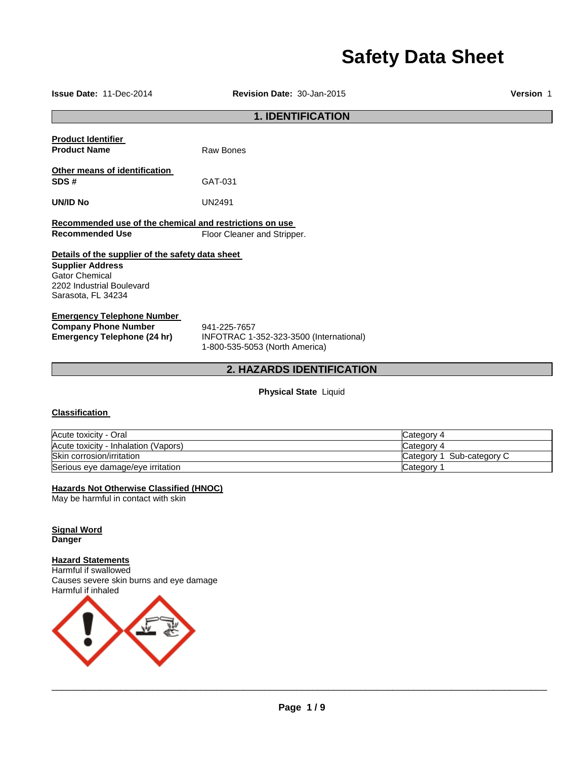# **Safety Data Sheet**

**Issue Date:** 11-Dec-2014 **Revision Date:** 30-Jan-2015 **Version** 1

# **1. IDENTIFICATION**

**Product Identifier Product Name Raw Bones** 

**Other means of identification** 

**SDS #** GAT-031

**UN/ID No** UN2491

**Recommended use of the chemical and restrictions on use**  Floor Cleaner and Stripper.

# **Details of the supplier of the safety data sheet**

**Supplier Address** Gator Chemical 2202 Industrial Boulevard Sarasota, FL 34234

# **Emergency Telephone Number**

**Company Phone Number** 941-225-7657<br> **Emergency Telephone (24 hr)** INFOTRAC 1-

**Emergency Telephone (24 hr)** INFOTRAC 1-352-323-3500 (International) 1-800-535-5053 (North America)

# **2. HAZARDS IDENTIFICATION**

**Physical State** Liquid

# **Classification**

| Acute toxicity - Oral                | Category 4                |
|--------------------------------------|---------------------------|
| Acute toxicity - Inhalation (Vapors) | Category 4                |
| Skin corrosion/irritation            | Category 1 Sub-category C |
| Serious eye damage/eye irritation    | Category                  |

# **Hazards Not Otherwise Classified (HNOC)**

May be harmful in contact with skin

**Signal Word Danger** 

# **Hazard Statements**

Harmful if swallowed Causes severe skin burns and eye damage Harmful if inhaled

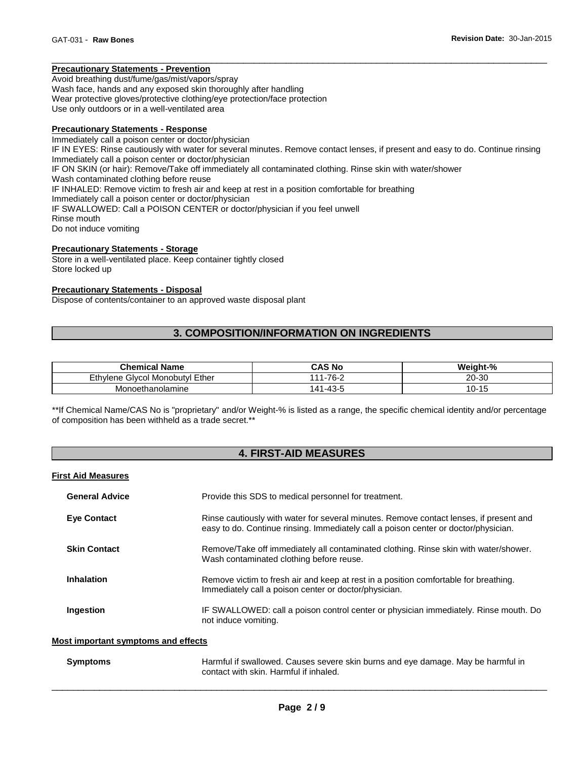# **Precautionary Statements - Prevention**

Avoid breathing dust/fume/gas/mist/vapors/spray Wash face, hands and any exposed skin thoroughly after handling Wear protective gloves/protective clothing/eye protection/face protection Use only outdoors or in a well-ventilated area

# **Precautionary Statements - Response**

Immediately call a poison center or doctor/physician IF IN EYES: Rinse cautiously with water for several minutes. Remove contact lenses, if present and easy to do. Continue rinsing Immediately call a poison center or doctor/physician IF ON SKIN (or hair): Remove/Take off immediately all contaminated clothing. Rinse skin with water/shower Wash contaminated clothing before reuse IF INHALED: Remove victim to fresh air and keep at rest in a position comfortable for breathing Immediately call a poison center or doctor/physician IF SWALLOWED: Call a POISON CENTER or doctor/physician if you feel unwell Rinse mouth Do not induce vomiting

\_\_\_\_\_\_\_\_\_\_\_\_\_\_\_\_\_\_\_\_\_\_\_\_\_\_\_\_\_\_\_\_\_\_\_\_\_\_\_\_\_\_\_\_\_\_\_\_\_\_\_\_\_\_\_\_\_\_\_\_\_\_\_\_\_\_\_\_\_\_\_\_\_\_\_\_\_\_\_\_\_\_\_\_\_\_\_\_\_\_\_\_\_

# **Precautionary Statements - Storage**

Store in a well-ventilated place. Keep container tightly closed Store locked up

# **Precautionary Statements - Disposal**

Dispose of contents/container to an approved waste disposal plant

# **3. COMPOSITION/INFORMATION ON INGREDIENTS**

| <b>Chemical Name</b>                    | CAS No        | Weight-%      |
|-----------------------------------------|---------------|---------------|
| Ethvlene<br>I Monobutvl Ether<br>Givcol | $111 - 76 -$  | 20-30         |
| Monoethanolamine                        | l-43-5<br>.11 | . U-1<br>ں וי |

\*\*If Chemical Name/CAS No is "proprietary" and/or Weight-% is listed as a range, the specific chemical identity and/or percentage of composition has been withheld as a trade secret.\*\*

# **4. FIRST-AID MEASURES**

## **First Aid Measures**

| <b>General Advice</b> | Provide this SDS to medical personnel for treatment.                                                                                                                          |  |  |
|-----------------------|-------------------------------------------------------------------------------------------------------------------------------------------------------------------------------|--|--|
| <b>Eve Contact</b>    | Rinse cautiously with water for several minutes. Remove contact lenses, if present and<br>easy to do. Continue rinsing. Immediately call a poison center or doctor/physician. |  |  |
| <b>Skin Contact</b>   | Remove/Take off immediately all contaminated clothing. Rinse skin with water/shower.<br>Wash contaminated clothing before reuse.                                              |  |  |
| <b>Inhalation</b>     | Remove victim to fresh air and keep at rest in a position comfortable for breathing.<br>Immediately call a poison center or doctor/physician.                                 |  |  |
| Ingestion             | IF SWALLOWED: call a poison control center or physician immediately. Rinse mouth. Do<br>not induce vomiting.                                                                  |  |  |

# **Most important symptoms and effects**

| <b>Symptoms</b> | Harmful if swallowed. Causes severe skin burns and eye damage. May be harmful in |
|-----------------|----------------------------------------------------------------------------------|
|                 | contact with skin. Harmful if inhaled.                                           |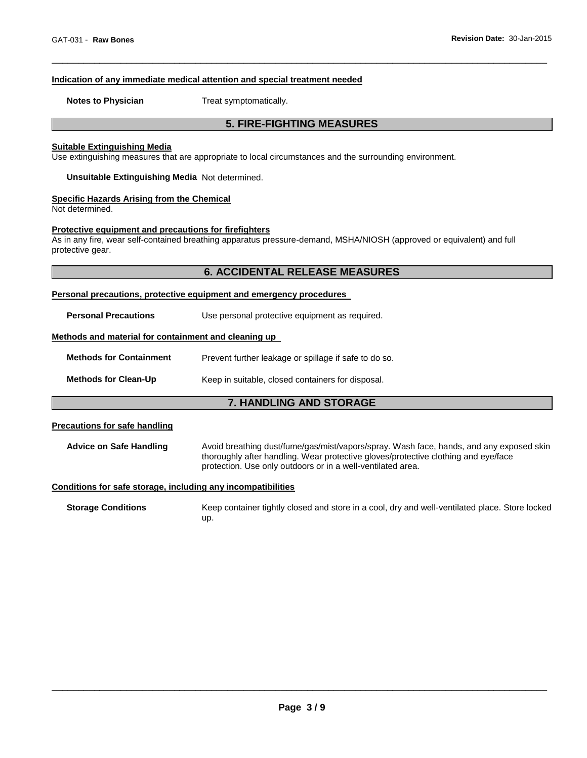# **Indication of any immediate medical attention and special treatment needed**

**Notes to Physician**  Treat symptomatically.

# **5. FIRE-FIGHTING MEASURES**

\_\_\_\_\_\_\_\_\_\_\_\_\_\_\_\_\_\_\_\_\_\_\_\_\_\_\_\_\_\_\_\_\_\_\_\_\_\_\_\_\_\_\_\_\_\_\_\_\_\_\_\_\_\_\_\_\_\_\_\_\_\_\_\_\_\_\_\_\_\_\_\_\_\_\_\_\_\_\_\_\_\_\_\_\_\_\_\_\_\_\_\_\_

# **Suitable Extinguishing Media**

Use extinguishing measures that are appropriate to local circumstances and the surrounding environment.

**Unsuitable Extinguishing Media** Not determined.

# **Specific Hazards Arising from the Chemical**

Not determined.

# **Protective equipment and precautions for firefighters**

As in any fire, wear self-contained breathing apparatus pressure-demand, MSHA/NIOSH (approved or equivalent) and full protective gear.

# **6. ACCIDENTAL RELEASE MEASURES**

#### **Personal precautions, protective equipment and emergency procedures**

**Personal Precautions Use personal protective equipment as required.** 

# **Methods and material for containment and cleaning up**

| <b>Methods for Containment</b> | Prevent further leakage or spillage if safe to do so. |  |
|--------------------------------|-------------------------------------------------------|--|
| <b>Methods for Clean-Up</b>    | Keep in suitable, closed containers for disposal.     |  |

# **7. HANDLING AND STORAGE**

# **Precautions for safe handling**

**Advice on Safe Handling** Avoid breathing dust/fume/gas/mist/vapors/spray. Wash face, hands, and any exposed skin thoroughly after handling. Wear protective gloves/protective clothing and eye/face protection. Use only outdoors or in a well-ventilated area.

# **Conditions for safe storage, including any incompatibilities**

**Storage Conditions** Keep container tightly closed and store in a cool, dry and well-ventilated place. Store locked up.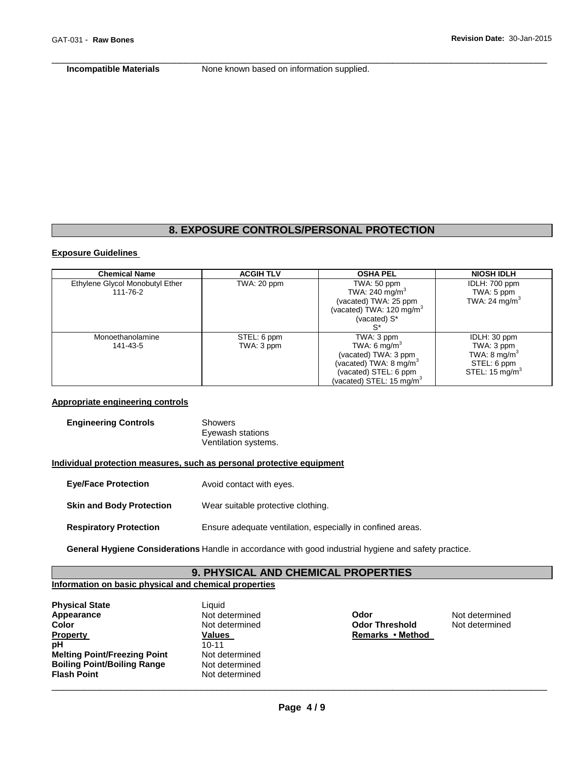**Incompatible Materials None known based on information supplied.** 

\_\_\_\_\_\_\_\_\_\_\_\_\_\_\_\_\_\_\_\_\_\_\_\_\_\_\_\_\_\_\_\_\_\_\_\_\_\_\_\_\_\_\_\_\_\_\_\_\_\_\_\_\_\_\_\_\_\_\_\_\_\_\_\_\_\_\_\_\_\_\_\_\_\_\_\_\_\_\_\_\_\_\_\_\_\_\_\_\_\_\_\_\_

# **8. EXPOSURE CONTROLS/PERSONAL PROTECTION**

# **Exposure Guidelines**

| <b>Chemical Name</b>            | <b>ACGIH TLV</b> | <b>OSHA PEL</b>                      | <b>NIOSH IDLH</b>         |
|---------------------------------|------------------|--------------------------------------|---------------------------|
| Ethylene Glycol Monobutyl Ether | TWA: 20 ppm      | TWA: 50 ppm                          | IDLH: 700 ppm             |
| 111-76-2                        |                  | TWA: 240 mg/m $3$                    | TWA: 5 ppm                |
|                                 |                  | (vacated) TWA: 25 ppm                | TWA: 24 mg/m <sup>3</sup> |
|                                 |                  | (vacated) TWA: 120 mg/m <sup>3</sup> |                           |
|                                 |                  | (vacated) S*                         |                           |
|                                 |                  |                                      |                           |
| Monoethanolamine                | STEL: 6 ppm      | TWA: 3 ppm                           | IDLH: 30 ppm              |
| 141-43-5                        | TWA: 3 ppm       | TWA: 6 mg/m <sup>3</sup>             | TWA: 3 ppm                |
|                                 |                  | (vacated) TWA: 3 ppm                 | TWA: $8 \text{ mg/m}^3$   |
|                                 |                  | (vacated) TWA: $8 \text{ mg/m}^3$    | STEL: 6 ppm               |
|                                 |                  | (vacated) STEL: 6 ppm                | STEL: $15 \text{ mg/m}^3$ |
|                                 |                  | (vacated) STEL: 15 mg/m ${}^{3}$     |                           |

# **Appropriate engineering controls**

| <b>Engineering Controls</b> | Showers              |
|-----------------------------|----------------------|
|                             | Eyewash stations     |
|                             | Ventilation systems. |

# **Individual protection measures, such as personal protective equipment**

- **Eye/Face Protection** Avoid contact with eyes.
- **Skin and Body Protection** Wear suitable protective clothing.
- **Respiratory Protection** Ensure adequate ventilation, especially in confined areas.

**General Hygiene Considerations** Handle in accordance with good industrial hygiene and safety practice.

# **9. PHYSICAL AND CHEMICAL PROPERTIES**

# **Information on basic physical and chemical properties**

| <b>Physical State</b>               | Liquid         |
|-------------------------------------|----------------|
| Appearance                          | Not determined |
| <b>Color</b>                        | Not determined |
| <b>Property</b>                     | <b>Values</b>  |
| pH                                  | $10 - 11$      |
| <b>Melting Point/Freezing Point</b> | Not determined |
| <b>Boiling Point/Boiling Range</b>  | Not determined |
| <b>Flash Point</b>                  | Not determined |
|                                     |                |

**Appearance** Not determined **Odor** Not determined **Color Threshold Color Threshold Remarks • Method**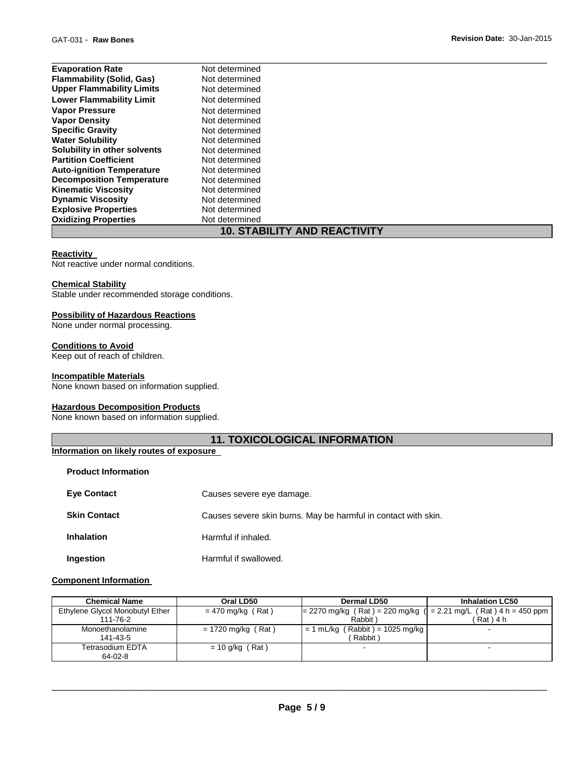| <b>Evaporation Rate</b>             | Not determined |  |  |  |
|-------------------------------------|----------------|--|--|--|
| <b>Flammability (Solid, Gas)</b>    | Not determined |  |  |  |
| <b>Upper Flammability Limits</b>    | Not determined |  |  |  |
| <b>Lower Flammability Limit</b>     | Not determined |  |  |  |
| <b>Vapor Pressure</b>               | Not determined |  |  |  |
| <b>Vapor Density</b>                | Not determined |  |  |  |
| <b>Specific Gravity</b>             | Not determined |  |  |  |
| <b>Water Solubility</b>             | Not determined |  |  |  |
| Solubility in other solvents        | Not determined |  |  |  |
| <b>Partition Coefficient</b>        | Not determined |  |  |  |
| <b>Auto-ignition Temperature</b>    | Not determined |  |  |  |
| <b>Decomposition Temperature</b>    | Not determined |  |  |  |
| <b>Kinematic Viscosity</b>          | Not determined |  |  |  |
| <b>Dynamic Viscosity</b>            | Not determined |  |  |  |
| <b>Explosive Properties</b>         | Not determined |  |  |  |
| <b>Oxidizing Properties</b>         | Not determined |  |  |  |
| <b>10. STABILITY AND REACTIVITY</b> |                |  |  |  |

# **Reactivity**

Not reactive under normal conditions.

# **Chemical Stability**

Stable under recommended storage conditions.

# **Possibility of Hazardous Reactions**

None under normal processing.

# **Conditions to Avoid**

Keep out of reach of children.

# **Incompatible Materials**

None known based on information supplied.

# **Hazardous Decomposition Products**

None known based on information supplied.

# **11. TOXICOLOGICAL INFORMATION**

# **Information on likely routes of exposure**

| <b>Product Information</b> |                                                                |
|----------------------------|----------------------------------------------------------------|
| <b>Eye Contact</b>         | Causes severe eye damage.                                      |
| <b>Skin Contact</b>        | Causes severe skin burns. May be harmful in contact with skin. |
| <b>Inhalation</b>          | Harmful if inhaled.                                            |
| Ingestion                  | Harmful if swallowed.                                          |

#### **Component Information**

| <b>Chemical Name</b>            | Oral LD50            | Dermal LD50                                                          | <b>Inhalation LC50</b> |  |
|---------------------------------|----------------------|----------------------------------------------------------------------|------------------------|--|
| Ethylene Glycol Monobutyl Ether | $= 470$ mg/kg (Rat)  | $= 2270$ mg/kg (Rat) = 220 mg/kg ( $= 2.21$ mg/L (Rat) 4 h = 450 ppm |                        |  |
| 111-76-2                        |                      | Rabbit                                                               | ´ Rat ) 4 h            |  |
| Monoethanolamine                | $= 1720$ mg/kg (Rat) | $= 1$ mL/kg (Rabbit) = 1025 mg/kg                                    |                        |  |
| 141-43-5                        |                      | Rabbit)                                                              |                        |  |
| Tetrasodium EDTA                | $= 10$ g/kg (Rat)    | -                                                                    |                        |  |
| $64-02-8$                       |                      |                                                                      |                        |  |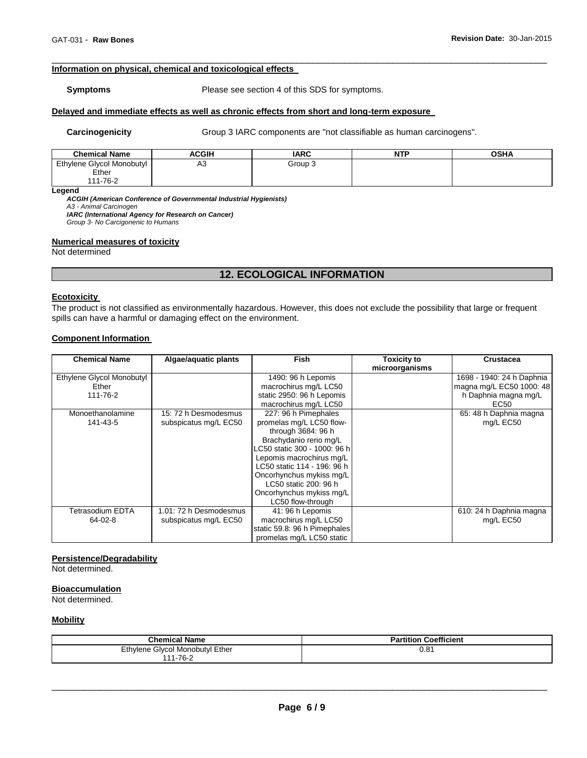# **Information on physical, chemical and toxicological effects**

**Symptoms** Please see section 4 of this SDS for symptoms.

\_\_\_\_\_\_\_\_\_\_\_\_\_\_\_\_\_\_\_\_\_\_\_\_\_\_\_\_\_\_\_\_\_\_\_\_\_\_\_\_\_\_\_\_\_\_\_\_\_\_\_\_\_\_\_\_\_\_\_\_\_\_\_\_\_\_\_\_\_\_\_\_\_\_\_\_\_\_\_\_\_\_\_\_\_\_\_\_\_\_\_\_\_

# **Delayed and immediate effects as well as chronic effects from short and long-term exposure**

Carcinogenicity **Group 3 IARC** components are "not classifiable as human carcinogens".

| <b>Chemical Name</b>               | <b>ACGIH</b> | <b>IARC</b> | NTP | <b>OSHA</b> |
|------------------------------------|--------------|-------------|-----|-------------|
| Ethylene Glycol Monobutyl<br>Ether | A3           | Group 3     |     |             |
| 111-76-2                           |              |             |     |             |

**Legend** 

*ACGIH (American Conference of Governmental Industrial Hygienists) A3 - Animal Carcinogen* 

*IARC (International Agency for Research on Cancer)*

*Group 3- No Carcigonenic to Humans* 

# **Numerical measures of toxicity**

Not determined

# **12. ECOLOGICAL INFORMATION**

#### **Ecotoxicity**

The product is not classified as environmentally hazardous. However, this does not exclude the possibility that large or frequent spills can have a harmful or damaging effect on the environment.

#### **Component Information**

| <b>Chemical Name</b>                                               | Algae/aquatic plants                            | <b>Fish</b>                                                                                                                                                                                                                                                               | <b>Toxicity to</b><br>microorganisms | <b>Crustacea</b>                                                                                                |
|--------------------------------------------------------------------|-------------------------------------------------|---------------------------------------------------------------------------------------------------------------------------------------------------------------------------------------------------------------------------------------------------------------------------|--------------------------------------|-----------------------------------------------------------------------------------------------------------------|
| Ethylene Glycol Monobutyl<br>Ether<br>111-76-2<br>Monoethanolamine | 15: 72 h Desmodesmus                            | 1490: 96 h Lepomis<br>macrochirus mg/L LC50<br>static 2950: 96 h Lepomis<br>macrochirus mg/L LC50<br>227: 96 h Pimephales                                                                                                                                                 |                                      | 1698 - 1940: 24 h Daphnia<br>magna mg/L EC50 1000: 48<br>h Daphnia magna mg/L<br>EC50<br>65: 48 h Daphnia magna |
| 141-43-5                                                           | subspicatus mg/L EC50                           | promelas mg/L LC50 flow-<br>through 3684: 96 h<br>Brachydanio rerio mg/L<br>LC50 static 300 - 1000: 96 h<br>Lepomis macrochirus mg/L<br>LC50 static 114 - 196: 96 h<br>Oncorhynchus mykiss mg/L<br>LC50 static 200: 96 h<br>Oncorhynchus mykiss mg/L<br>LC50 flow-through |                                      | mg/L EC50                                                                                                       |
| Tetrasodium EDTA<br>64-02-8                                        | 1.01: 72 h Desmodesmus<br>subspicatus mg/L EC50 | 41: 96 h Lepomis<br>macrochirus mg/L LC50<br>static 59.8: 96 h Pimephales<br>promelas mg/L LC50 static                                                                                                                                                                    |                                      | 610: 24 h Daphnia magna<br>mg/L EC50                                                                            |

# **Persistence/Degradability**

Not determined.

# **Bioaccumulation**

Not determined.

#### **Mobility**

| <b>Chemical Name</b>                       | Coefficient<br>Partition |
|--------------------------------------------|--------------------------|
| Ethylene<br>Ether<br>' Monobutvl<br>Glycol | 0.81                     |
| $1 - 76 - 2$<br>111                        |                          |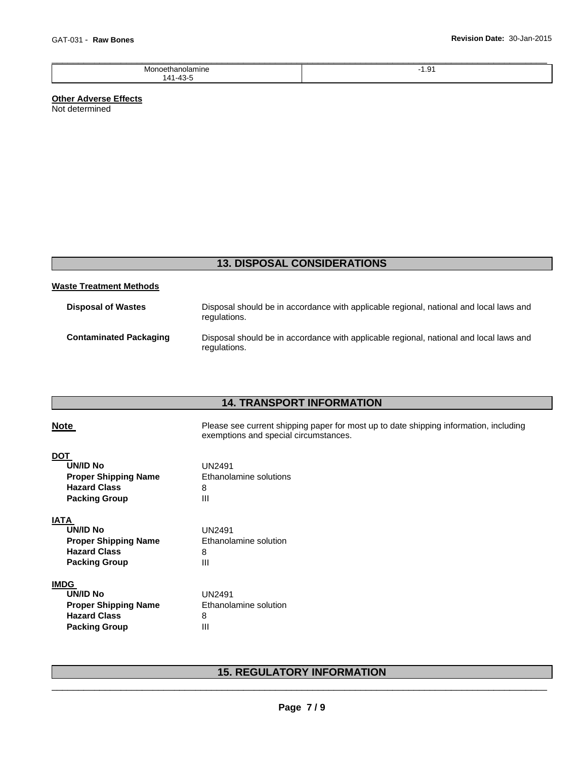| Monoetl<br>IVI.<br>มamıne<br>etr | -<br>ن. ا |
|----------------------------------|-----------|
| 141.43                           |           |

# **Other Adverse Effects**

Not determined

# **13. DISPOSAL CONSIDERATIONS**

# **Waste Treatment Methods**

| <b>Disposal of Wastes</b>     | Disposal should be in accordance with applicable regional, national and local laws and<br>regulations. |
|-------------------------------|--------------------------------------------------------------------------------------------------------|
| <b>Contaminated Packaging</b> | Disposal should be in accordance with applicable regional, national and local laws and<br>regulations. |

# **14. TRANSPORT INFORMATION**

| <b>Note</b>                                                                                                  | Please see current shipping paper for most up to date shipping information, including<br>exemptions and special circumstances. |
|--------------------------------------------------------------------------------------------------------------|--------------------------------------------------------------------------------------------------------------------------------|
| <b>DOT</b><br><b>UN/ID No</b><br><b>Proper Shipping Name</b><br><b>Hazard Class</b><br><b>Packing Group</b>  | <b>UN2491</b><br>Ethanolamine solutions<br>8<br>Ш                                                                              |
| <b>IATA</b><br><b>UN/ID No</b><br><b>Proper Shipping Name</b><br><b>Hazard Class</b><br><b>Packing Group</b> | <b>UN2491</b><br>Ethanolamine solution<br>8<br>Ш                                                                               |
| <b>IMDG</b><br><b>UN/ID No</b><br><b>Proper Shipping Name</b><br><b>Hazard Class</b><br><b>Packing Group</b> | <b>UN2491</b><br>Ethanolamine solution<br>8<br>Ш                                                                               |

# \_\_\_\_\_\_\_\_\_\_\_\_\_\_\_\_\_\_\_\_\_\_\_\_\_\_\_\_\_\_\_\_\_\_\_\_\_\_\_\_\_\_\_\_\_\_\_\_\_\_\_\_\_\_\_\_\_\_\_\_\_\_\_\_\_\_\_\_\_\_\_\_\_\_\_\_\_\_\_\_\_\_\_\_\_\_\_\_\_\_\_\_\_ **15. REGULATORY INFORMATION**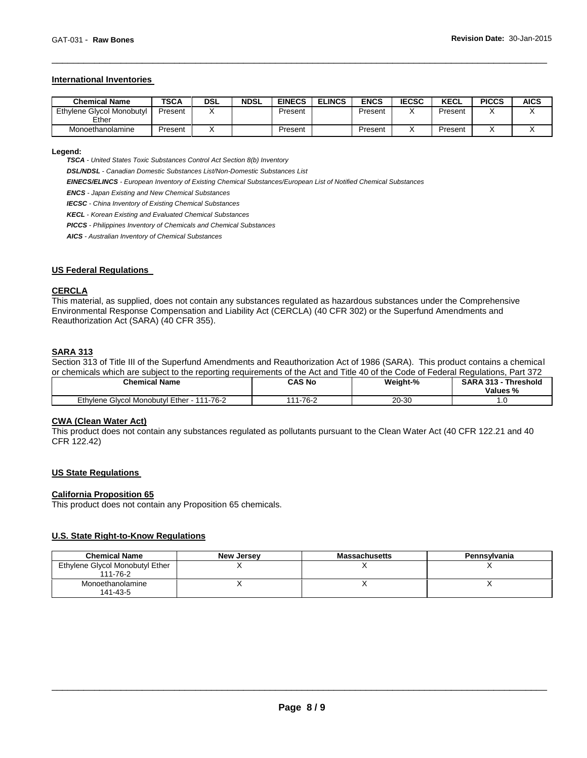# **International Inventories**

| <b>Chemical Name</b>               | <b>TSCA</b> | DSL | <b>NDSL</b> | <b>EINECS</b> | <b>ELINCS</b> | <b>ENCS</b> | <b>IECSC</b> | <b>KECL</b> | <b>PICCS</b> | <b>AICS</b> |
|------------------------------------|-------------|-----|-------------|---------------|---------------|-------------|--------------|-------------|--------------|-------------|
| Ethylene Glycol Monobutyl<br>Ether | Present     |     |             | Present       |               | Present     |              | Present     |              |             |
| Monoethanolamine                   | Present     |     |             | Present       |               | Present     |              | Present     |              |             |

\_\_\_\_\_\_\_\_\_\_\_\_\_\_\_\_\_\_\_\_\_\_\_\_\_\_\_\_\_\_\_\_\_\_\_\_\_\_\_\_\_\_\_\_\_\_\_\_\_\_\_\_\_\_\_\_\_\_\_\_\_\_\_\_\_\_\_\_\_\_\_\_\_\_\_\_\_\_\_\_\_\_\_\_\_\_\_\_\_\_\_\_\_

# **Legend:**

*TSCA - United States Toxic Substances Control Act Section 8(b) Inventory* 

*DSL/NDSL - Canadian Domestic Substances List/Non-Domestic Substances List* 

*EINECS/ELINCS - European Inventory of Existing Chemical Substances/European List of Notified Chemical Substances* 

*ENCS - Japan Existing and New Chemical Substances* 

*IECSC - China Inventory of Existing Chemical Substances* 

*KECL - Korean Existing and Evaluated Chemical Substances* 

*PICCS - Philippines Inventory of Chemicals and Chemical Substances* 

*AICS - Australian Inventory of Chemical Substances* 

#### **US Federal Regulations**

# **CERCLA**

This material, as supplied, does not contain any substances regulated as hazardous substances under the Comprehensive Environmental Response Compensation and Liability Act (CERCLA) (40 CFR 302) or the Superfund Amendments and Reauthorization Act (SARA) (40 CFR 355).

# **SARA 313**

Section 313 of Title III of the Superfund Amendments and Reauthorization Act of 1986 (SARA). This product contains a chemical or chemicals which are subject to the reporting requirements of the Act and Title 40 of the Code of Federal Regulations, Part 372

| <b>Chemical Name</b>                                       | CAS No                    | Weight-% | <b>Threshold</b><br><b>SARA 313</b><br>Values % |
|------------------------------------------------------------|---------------------------|----------|-------------------------------------------------|
| 1-76-2<br>Ethvlene<br>Ether<br>444<br>. Givcol Monobutvi ' | $-76-2$<br>$\overline{A}$ | 20-30    | . .                                             |

#### **CWA (Clean Water Act)**

This product does not contain any substances regulated as pollutants pursuant to the Clean Water Act (40 CFR 122.21 and 40 CFR 122.42)

# **US State Regulations**

#### **California Proposition 65**

This product does not contain any Proposition 65 chemicals.

# **U.S. State Right-to-Know Regulations**

| <b>Chemical Name</b>                        | New Jersey | <b>Massachusetts</b> | Pennsylvania |
|---------------------------------------------|------------|----------------------|--------------|
| Ethylene Glycol Monobutyl Ether<br>111-76-2 |            |                      |              |
| Monoethanolamine<br>141-43-5                |            |                      |              |